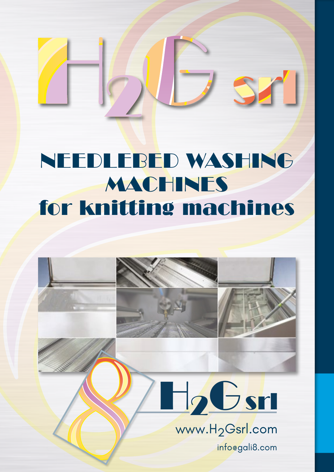## NEEDLEBED WASHING MACHINES for knitting machines

SZ

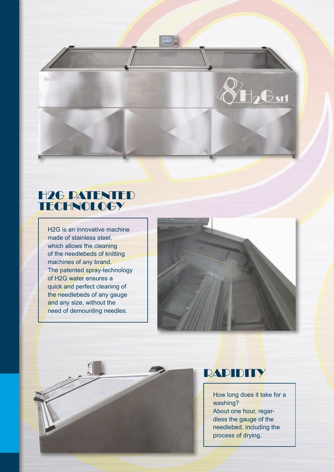

#### H2G PATENTED **TECHNOLOGY**

H2G is an innovative machine made of stainless steel, which allows the cleaning of the needlebeds of knitting machines of any brand. The patented spray-technology of H2G water ensures a quick and perfect cleaning of the needlebeds of any gauge and any size, without the need of demounting needles.



#### RAPIDITY

How long does it take for a washing? About one hour, regardless the gauge of the needlebed, including the process of drying.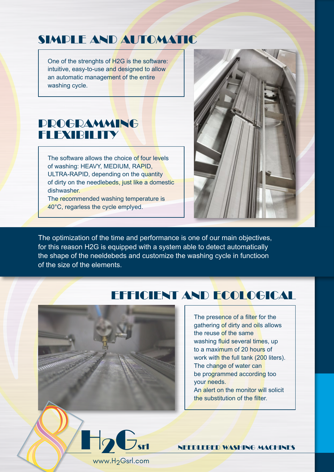#### SIMPLE AND AUTOMATIC

One of the strenghts of H2G is the software: intuitive, easy-to-use and designed to allow an automatic management of the entire washing cycle.

#### **PROGRAMMING** FLEXIBILITY

The software allows the choice of four levels of washing: HEAVY, MEDIUM, RAPID, ULTRA-RAPID, depending on the quantity of dirty on the needlebeds, just like a domestic dishwasher.

The recommended washing temperature is 40°C, regarless the cycle emplyed.



The optimization of the time and performance is one of our main objectives, for this reason H2G is equipped with a system able to detect automatically the shape of the neeldebeds and customize the washing cycle in functioon of the size of the elements.

#### EFFICIENT AND ECOLOGICAL



www.H2Gsrl.com

The presence of a filter for the gathering of dirty and oils allows the reuse of the same washing fluid several times, up to a maximum of 20 hours of work with the full tank (200 liters). The change of water can be programmed according too your needs. An alert on the monitor will solicit the substitution of the filter.

**12Gsrl NEEDLEBED WASHING MACHINES**